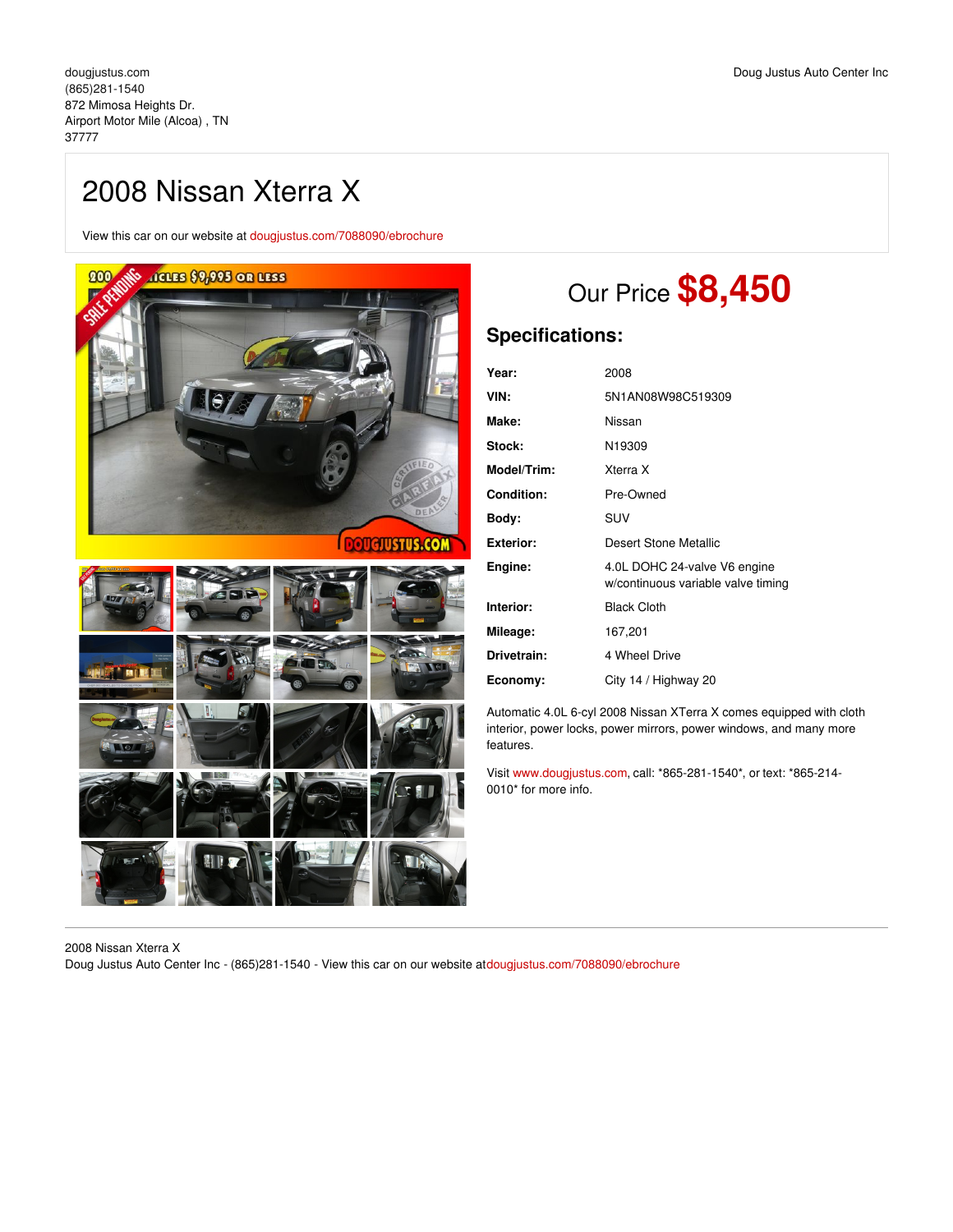View this car on our website at [dougjustus.com/7088090/ebrochure](https://dougjustus.com/vehicle/7088090/2008-nissan-xterra-x-airport-motor-mile-alcoa-tn-37777/7088090/ebrochure)







# Our Price **\$8,450**

# **Specifications:**

| Year:              | 2008                                                               |
|--------------------|--------------------------------------------------------------------|
| VIN:               | 5N1AN08W98C519309                                                  |
| Make:              | Nissan                                                             |
| Stock:             | N <sub>19309</sub>                                                 |
| <b>Model/Trim:</b> | Xterra X                                                           |
| <b>Condition:</b>  | Pre-Owned                                                          |
| Body:              | SUV                                                                |
| Exterior:          | Desert Stone Metallic                                              |
| Engine:            | 4.0L DOHC 24-valve V6 engine<br>w/continuous variable valve timing |
| Interior:          | <b>Black Cloth</b>                                                 |
| Mileage:           | 167,201                                                            |
| Drivetrain:        | 4 Wheel Drive                                                      |
| Economy:           | City 14 / Highway 20                                               |

Automatic 4.0L 6-cyl 2008 Nissan XTerra X comes equipped with cloth interior, power locks, power mirrors, power windows, and many more features.

Visit [www.dougjustus.com](http://www.dougjustus.com), call: \*865-281-1540\*, or text: \*865-214- 0010\* for more info.

2008 Nissan Xterra X Doug Justus Auto Center Inc - (865)281-1540 - View this car on our website a[tdougjustus.com/7088090/ebrochure](https://dougjustus.com/vehicle/7088090/2008-nissan-xterra-x-airport-motor-mile-alcoa-tn-37777/7088090/ebrochure)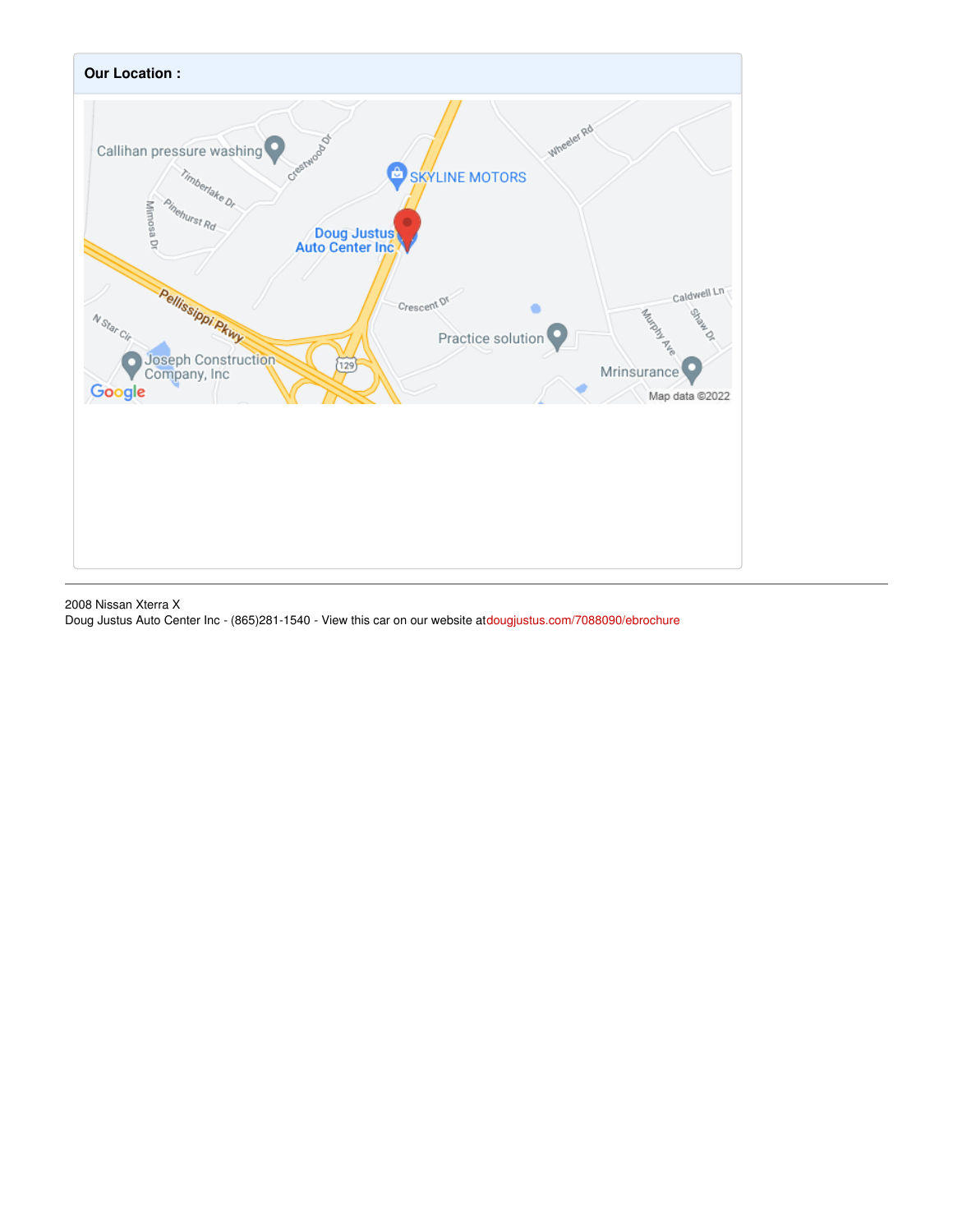

2008 Nissan Xterra X Doug Justus Auto Center Inc - (865)281-1540 - View this car on our website a[tdougjustus.com/7088090/ebrochure](https://dougjustus.com/vehicle/7088090/2008-nissan-xterra-x-airport-motor-mile-alcoa-tn-37777/7088090/ebrochure)